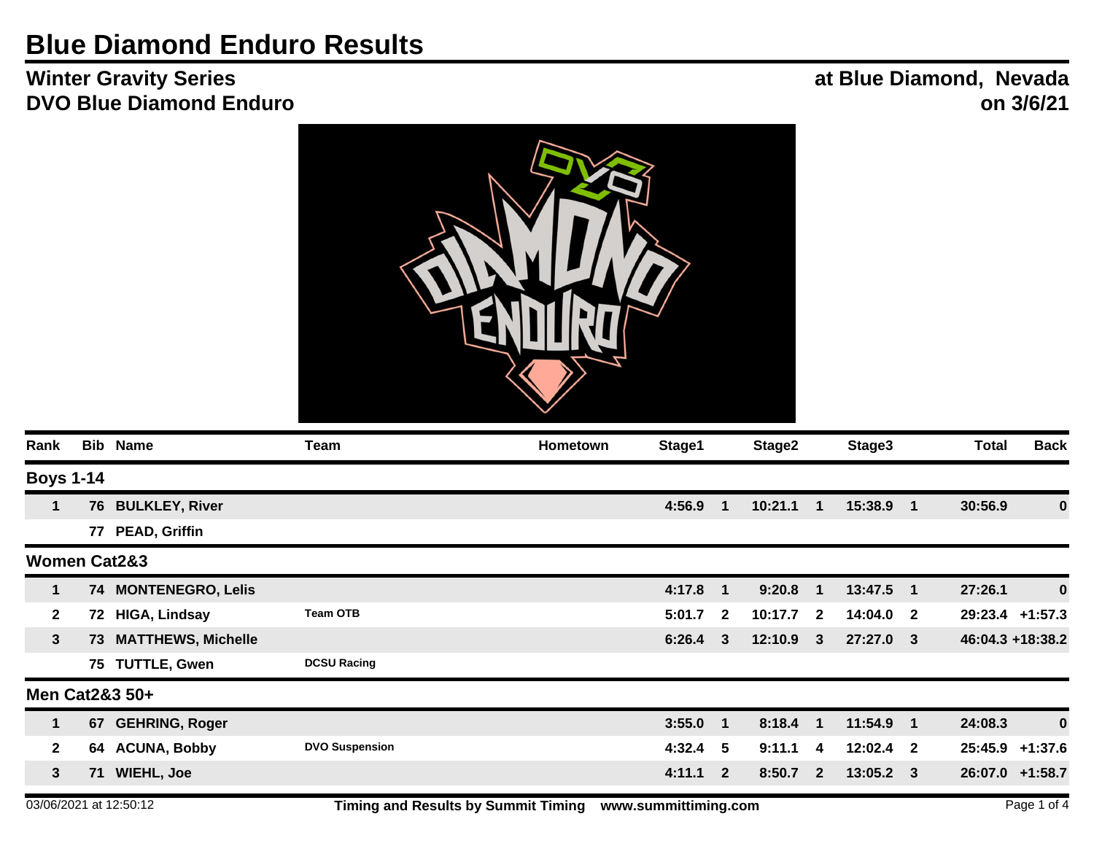## **Blue Diamond Enduro Results**

## **Winter Gravity Series DVO Blue Diamond Enduro**

## **at Blue Diamond, Nevada on 3/6/21**



| Rank                    |     | <b>Bib Name</b>           | Team                  | <b>Hometown</b> | Stage1 |                | Stage2      |              | Stage3      |                  | <b>Total</b> | <b>Back</b>       |
|-------------------------|-----|---------------------------|-----------------------|-----------------|--------|----------------|-------------|--------------|-------------|------------------|--------------|-------------------|
| <b>Boys 1-14</b>        |     |                           |                       |                 |        |                |             |              |             |                  |              |                   |
| 1                       | 76  | <b>BULKLEY, River</b>     |                       |                 | 4:56.9 | 1              | 10:21.1     | $\mathbf 1$  | 15:38.9     | $\blacksquare$ 1 | 30:56.9      | $\bf{0}$          |
|                         | 77  | <b>PEAD, Griffin</b>      |                       |                 |        |                |             |              |             |                  |              |                   |
| <b>Women Cat2&amp;3</b> |     |                           |                       |                 |        |                |             |              |             |                  |              |                   |
| 1                       |     | 74 MONTENEGRO, Lelis      |                       |                 | 4:17.8 | $\mathbf 1$    | 9:20.8      | $\mathbf 1$  | 13:47.5     | $\blacksquare$ 1 | 27:26.1      | $\bf{0}$          |
| $\mathbf{2}$            | 72  | <b>HIGA, Lindsay</b>      | <b>Team OTB</b>       |                 | 5:01.7 | $\overline{2}$ | $10:17.7$ 2 |              | $14:04.0$ 2 |                  |              | $29:23.4$ +1:57.3 |
| $\mathbf{3}$            | 73. | <b>MATTHEWS, Michelle</b> |                       |                 | 6:26.4 | 3              | 12:10.9     | $\mathbf{3}$ | 27:27.0 3   |                  |              | 46:04.3 +18:38.2  |
|                         |     | 75 TUTTLE, Gwen           | <b>DCSU Racing</b>    |                 |        |                |             |              |             |                  |              |                   |
|                         |     | Men Cat2&3 50+            |                       |                 |        |                |             |              |             |                  |              |                   |
| $\mathbf{1}$            |     | 67 GEHRING, Roger         |                       |                 | 3:55.0 | $\mathbf 1$    | 8:18.4      | $\mathbf{1}$ | 11:54.9     | $\blacksquare$   | 24:08.3      | $\bf{0}$          |
| $\mathbf{2}$            |     | 64 ACUNA, Bobby           | <b>DVO Suspension</b> |                 | 4:32.4 | -5             | 9:11.1      | 4            | $12:02.4$ 2 |                  | 25:45.9      | $+1:37.6$         |
| 3                       | 71  | <b>WIEHL, Joe</b>         |                       |                 | 4:11.1 | $\overline{2}$ | 8:50.7      | $\sqrt{2}$   | $13:05.2$ 3 |                  |              | 26:07.0 +1:58.7   |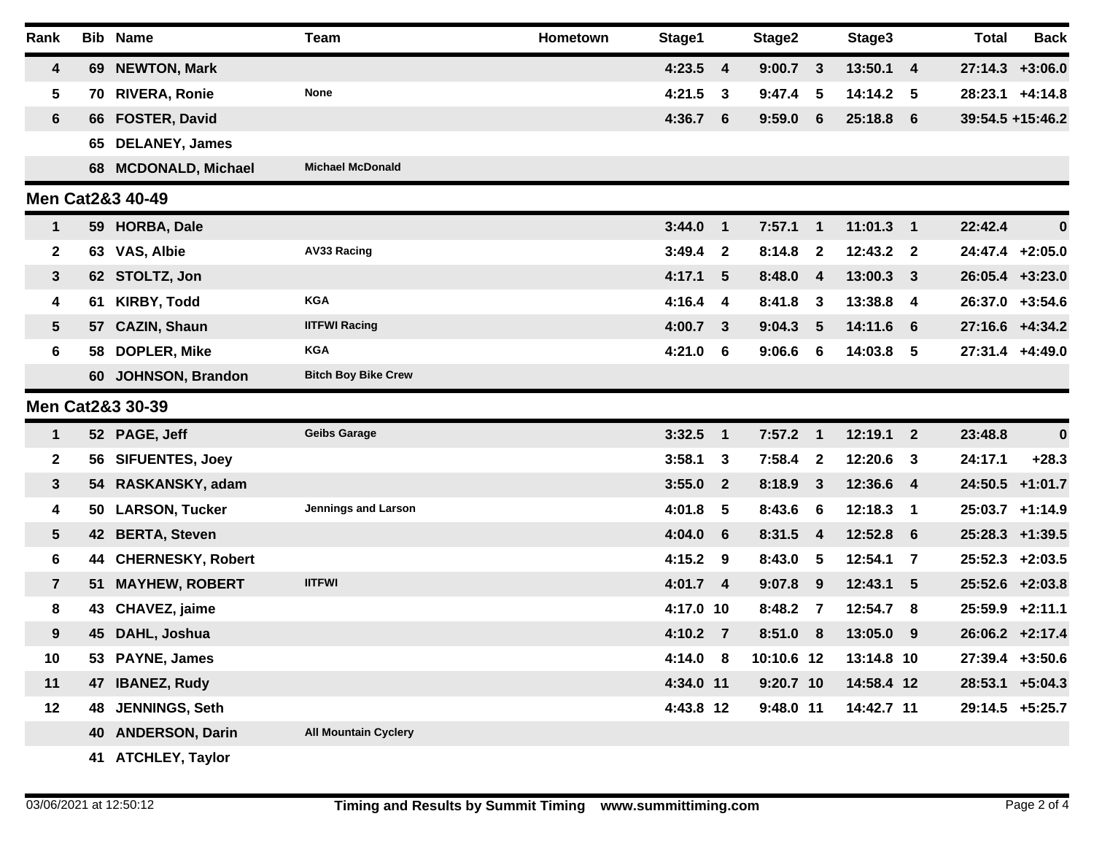| Rank                    |     | <b>Bib Name</b>       | Team                        | Hometown | Stage1     |                | Stage2      |                         | Stage3      |                         | <b>Total</b>      | <b>Back</b>        |
|-------------------------|-----|-----------------------|-----------------------------|----------|------------|----------------|-------------|-------------------------|-------------|-------------------------|-------------------|--------------------|
| $\overline{\mathbf{4}}$ |     | 69 NEWTON, Mark       |                             |          | $4:23.5$ 4 |                | 9:00.7      | $\overline{\mathbf{3}}$ | 13:50.1 4   |                         |                   | $27:14.3$ +3:06.0  |
| 5                       | 70  | <b>RIVERA, Ronie</b>  | None                        |          | 4:21.5     | -3             | 9:47.4      | 5                       | 14:14.2 5   |                         | 28:23.1           | $+4:14.8$          |
| $6\phantom{1}$          |     | 66 FOSTER, David      |                             |          | $4:36.7$ 6 |                | 9:59.0      | 6                       | 25:18.8 6   |                         |                   | 39:54.5 +15:46.2   |
|                         | 65  | <b>DELANEY, James</b> |                             |          |            |                |             |                         |             |                         |                   |                    |
|                         |     | 68 MCDONALD, Michael  | <b>Michael McDonald</b>     |          |            |                |             |                         |             |                         |                   |                    |
|                         |     | Men Cat2&3 40-49      |                             |          |            |                |             |                         |             |                         |                   |                    |
| $\mathbf{1}$            |     | 59 HORBA, Dale        |                             |          | 3:44.0     | $\blacksquare$ | $7:57.1$ 1  |                         | $11:01.3$ 1 |                         | 22:42.4           | $\boldsymbol{0}$   |
| $\mathbf{2}$            |     | 63 VAS, Albie         | <b>AV33 Racing</b>          |          | 3:49.4     | - 2            | 8:14.8      | $\mathbf{2}$            | 12:43.2 2   |                         | 24:47.4 +2:05.0   |                    |
| $\mathbf{3}$            |     | 62 STOLTZ, Jon        |                             |          | $4:17.1$ 5 |                | 8:48.0      | $\overline{4}$          | 13:00.3 3   |                         | 26:05.4 +3:23.0   |                    |
| 4                       | 61  | KIRBY, Todd           | <b>KGA</b>                  |          | $4:16.4$ 4 |                | 8:41.8      | $\mathbf{3}$            | 13:38.8 4   |                         | 26:37.0 +3:54.6   |                    |
| $5\phantom{.0}$         | 57  | <b>CAZIN, Shaun</b>   | <b>IITFWI Racing</b>        |          | $4:00.7$ 3 |                | 9:04.3      | $5\phantom{1}$          | 14:11.6 6   |                         | 27:16.6 +4:34.2   |                    |
| $\bf 6$                 | 58. | <b>DOPLER, Mike</b>   | <b>KGA</b>                  |          | 4:21.0 6   |                | 9:06.6      | 6                       | 14:03.8 5   |                         |                   | 27:31.4 +4:49.0    |
|                         |     | 60 JOHNSON, Brandon   | <b>Bitch Boy Bike Crew</b>  |          |            |                |             |                         |             |                         |                   |                    |
|                         |     | Men Cat2&3 30-39      |                             |          |            |                |             |                         |             |                         |                   |                    |
| $\mathbf{1}$            |     | 52 PAGE, Jeff         | <b>Geib s Garage</b>        |          | $3:32.5$ 1 |                | $7:57.2$ 1  |                         | $12:19.1$ 2 |                         | 23:48.8           | $\boldsymbol{0}$   |
| $\mathbf{2}$            |     | 56 SIFUENTES, Joey    |                             |          | $3:58.1$ 3 |                | 7:58.4      | $\mathbf{2}$            | 12:20.6 3   |                         | 24:17.1           | $+28.3$            |
| $\mathbf{3}$            |     | 54 RASKANSKY, adam    |                             |          | $3:55.0$ 2 |                | 8:18.9      | $\mathbf{3}$            | 12:36.6 4   |                         |                   | 24:50.5 +1:01.7    |
| 4                       |     | 50 LARSON, Tucker     | Jennings and Larson         |          | 4:01.8 5   |                | 8:43.6      | 6                       | 12:18.3     | $\overline{\mathbf{1}}$ | 25:03.7 +1:14.9   |                    |
| $5\phantom{.0}$         |     | 42 BERTA, Steven      |                             |          | 4:04.0 6   |                | 8:31.5      | $\overline{4}$          | 12:52.8 6   |                         | $25:28.3$ +1:39.5 |                    |
| $6\phantom{1}$          |     | 44 CHERNESKY, Robert  |                             |          | 4:15.2 9   |                | 8:43.0      | $\sqrt{5}$              | 12:54.1     | $\overline{\mathbf{7}}$ | $25:52.3$ +2:03.5 |                    |
| $\overline{7}$          | 51  | <b>MAYHEW, ROBERT</b> | <b>IITFWI</b>               |          | $4:01.7$ 4 |                | 9:07.8      | 9                       | 12:43.1 5   |                         | 25:52.6 +2:03.8   |                    |
| 8                       |     | 43 CHAVEZ, jaime      |                             |          | 4:17.0 10  |                | 8:48.2      | $\overline{7}$          | 12:54.7 8   |                         | $25:59.9$ +2:11.1 |                    |
| 9                       | 45  | DAHL, Joshua          |                             |          | 4:10.2 7   |                | 8:51.0      | 8                       | 13:05.0 9   |                         |                   | 26:06.2 +2:17.4    |
| 10                      |     | 53 PAYNE, James       |                             |          | 4:14.0 8   |                | 10:10.6 12  |                         | 13:14.8 10  |                         |                   | $27:39.4$ +3:50.6  |
| 11                      | 47  | <b>IBANEZ, Rudy</b>   |                             |          | 4:34.0 11  |                | $9:20.7$ 10 |                         | 14:58.4 12  |                         |                   | $28:53.1 + 5:04.3$ |
| 12                      |     | 48 JENNINGS, Seth     |                             |          | 4:43.8 12  |                | 9:48.0 11   |                         | 14:42.7 11  |                         |                   | 29:14.5 +5:25.7    |
|                         |     | 40 ANDERSON, Darin    | <b>All Mountain Cyclery</b> |          |            |                |             |                         |             |                         |                   |                    |
|                         |     | 41 ATCHLEY, Taylor    |                             |          |            |                |             |                         |             |                         |                   |                    |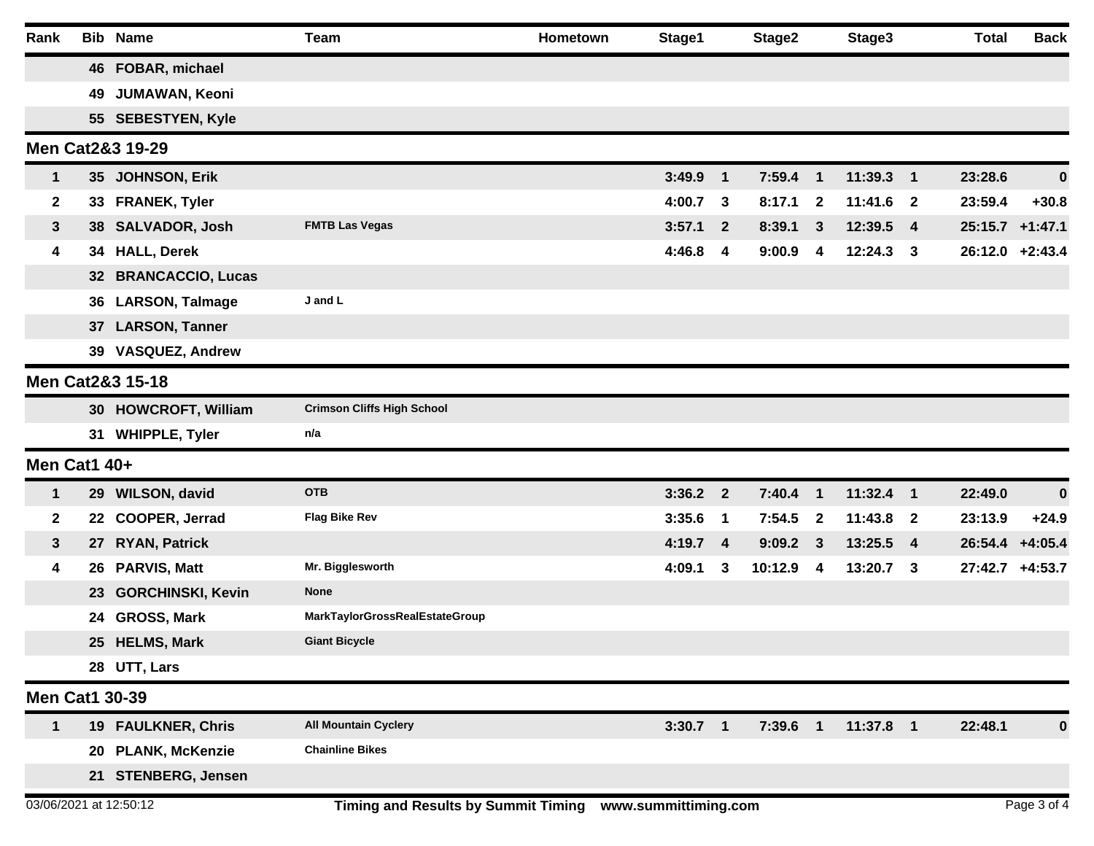| Rank                  |    | <b>Bib Name</b>             | <b>Team</b>                       | Hometown | Stage1     |              | Stage2   |                         | Stage3      | <b>Total</b>    | <b>Back</b>      |
|-----------------------|----|-----------------------------|-----------------------------------|----------|------------|--------------|----------|-------------------------|-------------|-----------------|------------------|
|                       |    | 46 FOBAR, michael           |                                   |          |            |              |          |                         |             |                 |                  |
|                       |    | 49 JUMAWAN, Keoni           |                                   |          |            |              |          |                         |             |                 |                  |
|                       |    | 55 SEBESTYEN, Kyle          |                                   |          |            |              |          |                         |             |                 |                  |
|                       |    | <b>Men Cat2&amp;3 19-29</b> |                                   |          |            |              |          |                         |             |                 |                  |
| $\mathbf{1}$          |    | 35 JOHNSON, Erik            |                                   |          | 3:49.9     | $\mathbf{1}$ | 7:59.4   | $\overline{1}$          | 11:39.3 1   | 23:28.6         | $\bf{0}$         |
| 2                     |    | 33 FRANEK, Tyler            |                                   |          | 4:00.7     | 3            | 8:17.1   | $\mathbf{2}$            | 11:41.6 2   | 23:59.4         | $+30.8$          |
| $\mathbf{3}$          |    | 38 SALVADOR, Josh           | <b>FMTB Las Vegas</b>             |          | 3:57.1     | $\mathbf{2}$ | 8:39.1   | $\mathbf{3}$            | 12:39.5 4   | 25:15.7         | $+1:47.1$        |
| 4                     |    | 34 HALL, Derek              |                                   |          | 4:46.8     | 4            | 9:00.9   | 4                       | $12:24.3$ 3 | 26:12.0 +2:43.4 |                  |
|                       |    | 32 BRANCACCIO, Lucas        |                                   |          |            |              |          |                         |             |                 |                  |
|                       |    | 36 LARSON, Talmage          | J and L                           |          |            |              |          |                         |             |                 |                  |
|                       |    | 37 LARSON, Tanner           |                                   |          |            |              |          |                         |             |                 |                  |
|                       |    | 39 VASQUEZ, Andrew          |                                   |          |            |              |          |                         |             |                 |                  |
|                       |    | Men Cat2&3 15-18            |                                   |          |            |              |          |                         |             |                 |                  |
|                       |    | 30 HOWCROFT, William        | <b>Crimson Cliffs High School</b> |          |            |              |          |                         |             |                 |                  |
|                       |    | 31 WHIPPLE, Tyler           | n/a                               |          |            |              |          |                         |             |                 |                  |
| Men Cat1 40+          |    |                             |                                   |          |            |              |          |                         |             |                 |                  |
| $\mathbf{1}$          |    | 29 WILSON, david            | <b>OTB</b>                        |          | $3:36.2$ 2 |              | 7:40.4   | $\overline{1}$          | 11:32.4 1   | 22:49.0         | $\boldsymbol{0}$ |
| $\mathbf{2}$          |    | 22 COOPER, Jerrad           | <b>Flag Bike Rev</b>              |          | 3:35.6     | $\mathbf 1$  | 7:54.5   | $\mathbf{2}$            | 11:43.8 2   | 23:13.9         | $+24.9$          |
| $\mathbf{3}$          | 27 | <b>RYAN, Patrick</b>        |                                   |          | 4:19.7 4   |              | 9:09.2   | $\mathbf{3}$            | 13:25.5 4   | 26:54.4         | $+4:05.4$        |
| 4                     |    | 26 PARVIS, Matt             | Mr. Bigglesworth                  |          | 4:09.1     | 3            | 10:12.9  | $\overline{\mathbf{4}}$ | $13:20.7$ 3 | 27:42.7 +4:53.7 |                  |
|                       |    | 23 GORCHINSKI, Kevin        | <b>None</b>                       |          |            |              |          |                         |             |                 |                  |
|                       |    | 24 GROSS, Mark              | MarkTaylorGrossRealEstateGroup    |          |            |              |          |                         |             |                 |                  |
|                       |    | 25 HELMS, Mark              | <b>Giant Bicycle</b>              |          |            |              |          |                         |             |                 |                  |
|                       |    | 28 UTT, Lars                |                                   |          |            |              |          |                         |             |                 |                  |
| <b>Men Cat1 30-39</b> |    |                             |                                   |          |            |              |          |                         |             |                 |                  |
| $\mathbf 1$           |    | 19 FAULKNER, Chris          | <b>All Mountain Cyclery</b>       |          | $3:30.7$ 1 |              | 7:39.6 1 |                         | 11:37.8 1   | 22:48.1         | $\boldsymbol{0}$ |
|                       |    | 20 PLANK, McKenzie          | <b>Chainline Bikes</b>            |          |            |              |          |                         |             |                 |                  |
|                       |    | 21 STENBERG, Jensen         |                                   |          |            |              |          |                         |             |                 |                  |
|                       |    |                             |                                   |          |            |              |          |                         |             |                 |                  |